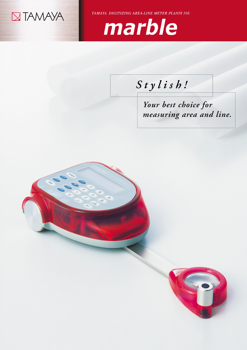

TAMAYA DIGITIZING AREA-LINE METER PLANIX 10S



## Stylish!

Your best choice for measuring area and line.